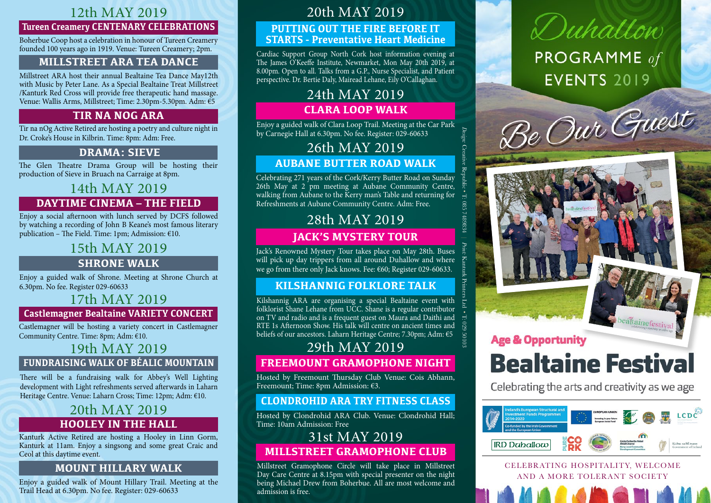# 12th May 2019

#### **Tureen Creamery CENTENARY CELEBRATIONS**

Boherbue Coop host a celebration in honour of Tureen Creamery founded 100 years ago in 1919. Venue: Tureen Creamery; 2pm.

# **Millstreet ARA Tea Dance**

Millstreet ARA host their annual Bealtaine Tea Dance May12th with Music by Peter Lane. As a Special Bealtaine Treat Millstreet /Kanturk Red Cross will provide free therapeutic hand massage. Venue: Wallis Arms, Millstreet; Time: 2.30pm-5.30pm. Adm: €5

# **Tir na nOg ARA**

Tir na nOg Active Retired are hosting a poetry and culture night in Dr. Croke's House in Kilbrin. Time: 8pm: Adm: Free.

# **DRAMA: Sieve**

The Glen Theatre Drama Group will be hosting their production of Sieve in Bruach na Carraige at 8pm.

# 14th May 2019 **DayTime Cinema – The Field**

Enjoy a social afternoon with lunch served by DCFS followed by watching a recording of John B Keane's most famous literary publication – The Field. Time: 1pm; Admission:  $€10$ .

# 15th May 2019

# **Shrone Walk**

Enjoy a guided walk of Shrone. Meeting at Shrone Church at 6.30pm. No fee. Register 029-60633

# 17th May 2019

#### **Castlemagner Bealtaine VARIETY CONCERT**

Castlemagner will be hosting a variety concert in Castlemagner Community Centre. Time: 8pm; Adm: €10.

# 19th May 2019

#### **Fundraising Walk of Béalic Mountain**

There will be a fundraising walk for Abbey's Well Lighting development with Light refreshments served afterwards in Laharn Heritage Centre. Venue: Laharn Cross; Time: 12pm; Adm: €10.

# **Hooley in the Hall** 20th May 2019

Kanturk Active Retired are hosting a Hooley in Linn Gorm, Kanturk at 11am. Enjoy a singsong and some great Craic and Ceol at this daytime event.

#### **Mount Hillary Walk**

Enjoy a guided walk of Mount Hillary Trail. Meeting at the Trail Head at 6.30pm. No fee. Register: 029-60633

# 20th May 2019

#### **Putting out the fire before it starts - Preventative Heart Medicine**

Cardiac Support Group North Cork host information evening at The James O'Keeffe Institute, Newmarket, Mon May 20th 2019, at 8.00pm. Open to all. Talks from a G.P., Nurse Specialist, and Patient perspective. Dr. Bertie Daly, Mairead Lehane, Eily O'Callaghan.

# 24th May 2019 **Clara Loop Walk**

Enjoy a guided walk of Clara Loop Trail. Meeting at the Car Park by Carnegie Hall at 6.30pm. No fee. Register: 029-60633

*Design:*

Creative Republic

T: 085 7489834 |

*Print:*

Kanturk Printers Ltd

•

T: 029 50103

# 26th May 2019

# **Aubane Butter Road Walk**

Celebrating 271 years of the Cork/Kerry Butter Road on Sunday 26th May at  $2$  pm meeting at Aubane Community Centre, walking from Aubane to the Kerry man's Table and returning for Refreshments at Aubane Community Centre. Adm: Free.

# 28th May 2019

# **Jack's Mystery Tour**

Jack's Renowned Mystery Tour takes place on May 28th. Buses will pick up day trippers from all around Duhallow and where we go from there only Jack knows. Fee: €60; Register 029-60633.

# **Kilshannig Folklore Talk**

Kilshannig ARA are organising a special Bealtaine event with folklorist Shane Lehane from UCC. Shane is a regular contributor on TV and radio and is a frequent guest on Maura and Daithi and RTE 1s Afternoon Show. His talk will centre on ancient times and beliefs of our ancestors. Laharn Heritage Centre; 7.30pm; Adm: €5

# **Freemount Gramophone Night**  29th May 2019

Hosted by Freemount Thursday Club Venue: Cois Abhann, Freemount; Time: 8pm Admission: €3.

# **Clondrohid ARA Try Fitness Class**

Hosted by Clondrohid ARA Club. Venue: Clondrohid Hall; Time: 10am Admission: Free

# 31st May 2019

**Millstreet Gramophone Club** 

Millstreet Gramophone Circle will take place in Millstreet Day Care Centre at 8.15pm with special presenter on the night being Michael Drew from Boherbue. All are most welcome and admission is free.

# Duhallow **PROGRAMME** of **EVENTS 2019**





**Age & Opportunity** 

# **Bealtaine Festival**

Celebrating the arts and creativity as we age